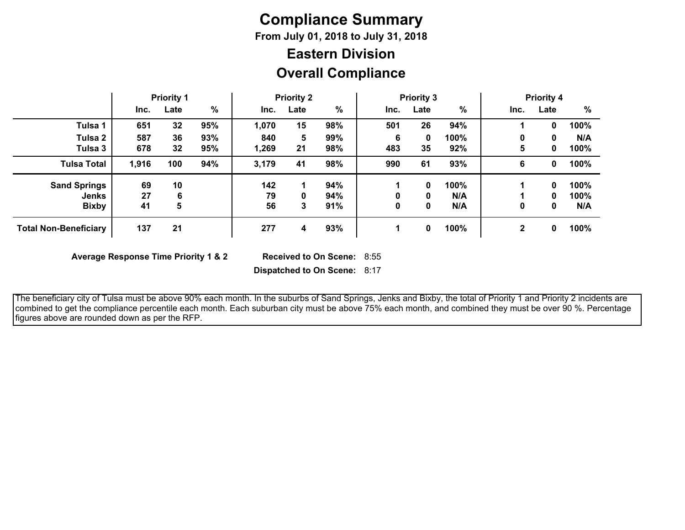# **Compliance Summary**

**From July 01, 2018 to July 31, 2018**

## **Overall Compliance Eastern Division**

|                              | <b>Priority 1</b> |      | <b>Priority 2</b> |       | <b>Priority 3</b> |     |      |      | <b>Priority 4</b> |      |      |      |
|------------------------------|-------------------|------|-------------------|-------|-------------------|-----|------|------|-------------------|------|------|------|
|                              | Inc.              | Late | $\%$              | Inc.  | Late              | %   | Inc. | Late | $\frac{9}{6}$     | Inc. | Late | %    |
| Tulsa 1                      | 651               | 32   | 95%               | 1,070 | 15                | 98% | 501  | 26   | 94%               |      | 0    | 100% |
| Tulsa 2                      | 587               | 36   | 93%               | 840   | 5                 | 99% | 6    | 0    | 100%              | 0    | 0    | N/A  |
| Tulsa 3                      | 678               | 32   | 95%               | 1,269 | 21                | 98% | 483  | 35   | 92%               | 5    | 0    | 100% |
| <b>Tulsa Total</b>           | 1,916             | 100  | 94%               | 3,179 | 41                | 98% | 990  | 61   | 93%               | 6    | 0    | 100% |
| <b>Sand Springs</b>          | 69                | 10   |                   | 142   | 1                 | 94% |      | 0    | 100%              |      | 0    | 100% |
| Jenks                        | 27                | 6    |                   | 79    | 0                 | 94% |      | 0    | N/A               |      | 0    | 100% |
| <b>Bixby</b>                 | 41                | 5    |                   | 56    | 3                 | 91% | 0    | 0    | N/A               | 0    | 0    | N/A  |
| <b>Total Non-Beneficiary</b> | 137               | 21   |                   | 277   | 4                 | 93% |      | 0    | 100%              | 2    | 0    | 100% |

**Average Response Time Priority 1 & 2** 

Received to On Scene: 8:55

**Dispatched to On Scene:** 8:17

 The beneficiary city of Tulsa must be above 90% each month. In the suburbs of Sand Springs, Jenks and Bixby, the total of Priority 1 and Priority 2 incidents are combined to get the compliance percentile each month. Each suburban city must be above 75% each month, and combined they must be over 90 %. Percentage figures above are rounded down as per the RFP.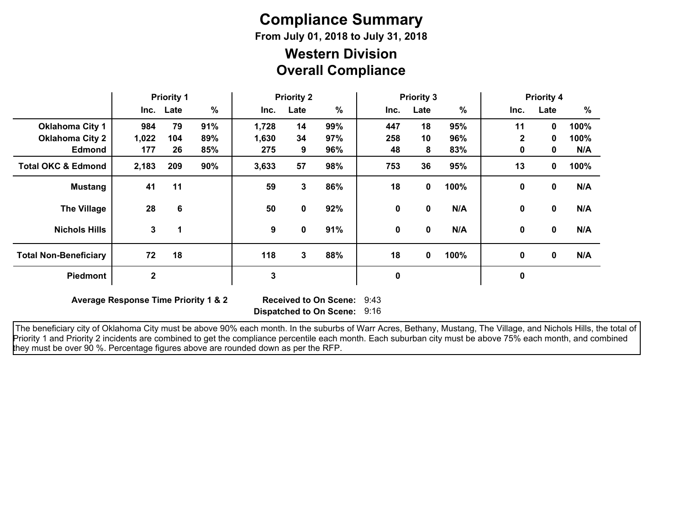# **Compliance Summary**

**From July 01, 2018 to July 31, 2018**

### **Overall Compliance Western Division**

|                               | <b>Priority 1</b> |           | <b>Priority 2</b> |       |      | <b>Priority 3</b> |             |              |      | <b>Priority 4</b> |              |      |
|-------------------------------|-------------------|-----------|-------------------|-------|------|-------------------|-------------|--------------|------|-------------------|--------------|------|
|                               |                   | Inc. Late | %                 | Inc.  | Late | %                 | Inc.        | Late         | $\%$ | Inc.              | Late         | %    |
| <b>Oklahoma City 1</b>        | 984               | 79        | 91%               | 1,728 | 14   | 99%               | 447         | 18           | 95%  | 11                | $\mathbf 0$  | 100% |
| <b>Oklahoma City 2</b>        | 1,022             | 104       | 89%               | 1,630 | 34   | 97%               | 258         | 10           | 96%  | $\mathbf{2}$      | 0            | 100% |
| <b>Edmond</b>                 | 177               | 26        | 85%               | 275   | 9    | 96%               | 48          | 8            | 83%  | 0                 | 0            | N/A  |
| <b>Total OKC &amp; Edmond</b> | 2,183             | 209       | 90%               | 3,633 | 57   | 98%               | 753         | 36           | 95%  | 13                | $\mathbf 0$  | 100% |
| <b>Mustang</b>                | 41                | 11        |                   | 59    | 3    | 86%               | 18          | 0            | 100% | 0                 | $\mathbf{0}$ | N/A  |
| <b>The Village</b>            | 28                | 6         |                   | 50    | 0    | 92%               | 0           | 0            | N/A  | 0                 | 0            | N/A  |
| <b>Nichols Hills</b>          | $3\phantom{a}$    | 1         |                   | 9     | 0    | 91%               | $\mathbf 0$ | $\mathbf{0}$ | N/A  | 0                 | $\mathbf{0}$ | N/A  |
| <b>Total Non-Beneficiary</b>  | 72                | 18        |                   | 118   | 3    | 88%               | 18          | $\mathbf{0}$ | 100% | 0                 | $\mathbf{0}$ | N/A  |
| Piedmont                      | 2                 |           |                   | 3     |      |                   | $\bf{0}$    |              |      | $\boldsymbol{0}$  |              |      |

**Average Response Time Priority 1 & 2** 

**Dispatched to On Scene:** 9:16 Received to On Scene: 9:43

 The beneficiary city of Oklahoma City must be above 90% each month. In the suburbs of Warr Acres, Bethany, Mustang, The Village, and Nichols Hills, the total of Priority 1 and Priority 2 incidents are combined to get the compliance percentile each month. Each suburban city must be above 75% each month, and combined they must be over 90 %. Percentage figures above are rounded down as per the RFP.